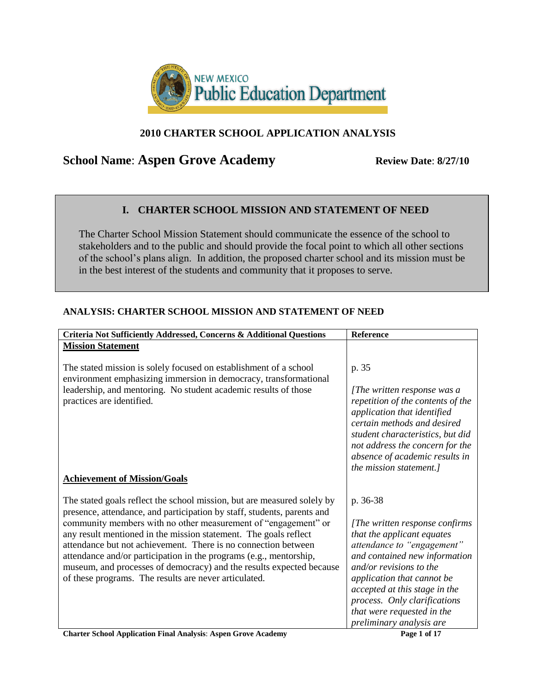

# **2010 CHARTER SCHOOL APPLICATION ANALYSIS**

# **School Name: Aspen Grove Academy** Review Date: 8/27/10

# **I. CHARTER SCHOOL MISSION AND STATEMENT OF NEED**

The Charter School Mission Statement should communicate the essence of the school to stakeholders and to the public and should provide the focal point to which all other sections of the school"s plans align. In addition, the proposed charter school and its mission must be in the best interest of the students and community that it proposes to serve.

| Criteria Not Sufficiently Addressed, Concerns & Additional Questions    | Reference                                                         |
|-------------------------------------------------------------------------|-------------------------------------------------------------------|
| <b>Mission Statement</b>                                                |                                                                   |
|                                                                         |                                                                   |
| The stated mission is solely focused on establishment of a school       | p. 35                                                             |
| environment emphasizing immersion in democracy, transformational        |                                                                   |
| leadership, and mentoring. No student academic results of those         | [The written response was a                                       |
| practices are identified.                                               | repetition of the contents of the                                 |
|                                                                         | application that identified                                       |
|                                                                         | certain methods and desired                                       |
|                                                                         | student characteristics, but did                                  |
|                                                                         | not address the concern for the<br>absence of academic results in |
|                                                                         | <i>the mission statement.]</i>                                    |
| <b>Achievement of Mission/Goals</b>                                     |                                                                   |
|                                                                         |                                                                   |
| The stated goals reflect the school mission, but are measured solely by | p. 36-38                                                          |
| presence, attendance, and participation by staff, students, parents and |                                                                   |
| community members with no other measurement of "engagement" or          | [The written response confirms]                                   |
| any result mentioned in the mission statement. The goals reflect        | that the applicant equates                                        |
| attendance but not achievement. There is no connection between          | attendance to "engagement"                                        |
| attendance and/or participation in the programs (e.g., mentorship,      | and contained new information                                     |
| museum, and processes of democracy) and the results expected because    | and/or revisions to the                                           |
| of these programs. The results are never articulated.                   | application that cannot be                                        |
|                                                                         | accepted at this stage in the                                     |
|                                                                         | process. Only clarifications                                      |
|                                                                         | that were requested in the                                        |
|                                                                         | preliminary analysis are                                          |
| <b>Charter School Application Final Analysis: Aspen Grove Academy</b>   | Page 1 of 17                                                      |

### **ANALYSIS: CHARTER SCHOOL MISSION AND STATEMENT OF NEED**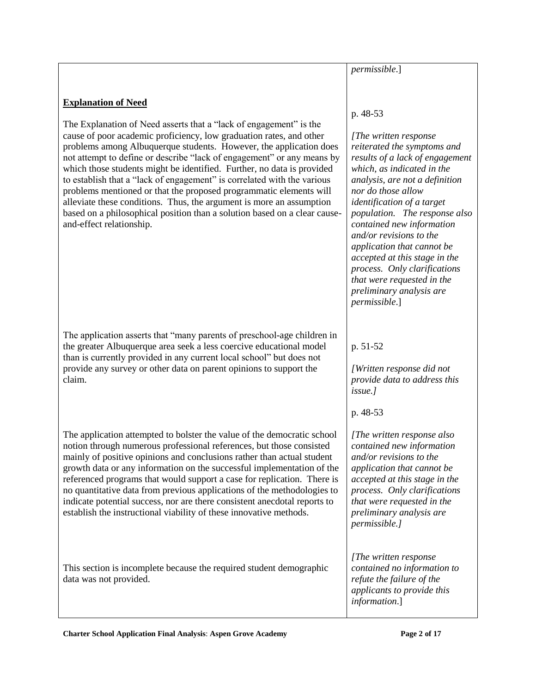#### **Explanation of Need**

The Explanation of Need asserts that a "lack of engagement" is the cause of poor academic proficiency, low graduation rates, and other problems among Albuquerque students. However, the application does not attempt to define or describe "lack of engagement" or any means by which those students might be identified. Further, no data is provided to establish that a "lack of engagement" is correlated with the various problems mentioned or that the proposed programmatic elements will alleviate these conditions. Thus, the argument is more an assumption based on a philosophical position than a solution based on a clear causeand-effect relationship.

The application asserts that "many parents of preschool-age children in the greater Albuquerque area seek a less coercive educational model than is currently provided in any current local school" but does not provide any survey or other data on parent opinions to support the claim.

The application attempted to bolster the value of the democratic school notion through numerous professional references, but those consisted mainly of positive opinions and conclusions rather than actual student growth data or any information on the successful implementation of the referenced programs that would support a case for replication. There is no quantitative data from previous applications of the methodologies to indicate potential success, nor are there consistent anecdotal reports to establish the instructional viability of these innovative methods.

This section is incomplete because the required student demographic data was not provided.

#### *permissible*.]

#### p. 48-53

*[The written response reiterated the symptoms and results of a lack of engagement which, as indicated in the analysis, are not a definition nor do those allow identification of a target population. The response also contained new information and/or revisions to the application that cannot be accepted at this stage in the process. Only clarifications that were requested in the preliminary analysis are permissible*.]

### p. 51-52

*[Written response did not provide data to address this issue.]*

#### p. 48-53

*[The written response also contained new information and/or revisions to the application that cannot be accepted at this stage in the process. Only clarifications that were requested in the preliminary analysis are permissible.]*

*[The written response contained no information to refute the failure of the applicants to provide this information*.]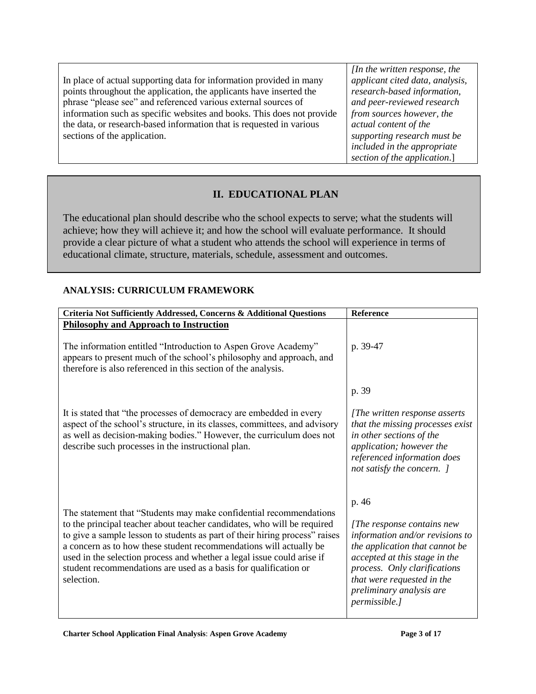In place of actual supporting data for information provided in many points throughout the application, the applicants have inserted the phrase "please see" and referenced various external sources of information such as specific websites and books. This does not provide the data, or research-based information that is requested in various sections of the application.

*[In the written response, the applicant cited data, analysis, research-based information, and peer-reviewed research from sources however, the actual content of the supporting research must be included in the appropriate section of the application*.]

# **II. EDUCATIONAL PLAN**

The educational plan should describe who the school expects to serve; what the students will achieve; how they will achieve it; and how the school will evaluate performance. It should provide a clear picture of what a student who attends the school will experience in terms of educational climate, structure, materials, schedule, assessment and outcomes.

#### **ANALYSIS: CURRICULUM FRAMEWORK**

| Criteria Not Sufficiently Addressed, Concerns & Additional Questions                                                                                                                                                                                                                                                                                                                                                                                            | Reference                                                                                                                                                                                                                                            |
|-----------------------------------------------------------------------------------------------------------------------------------------------------------------------------------------------------------------------------------------------------------------------------------------------------------------------------------------------------------------------------------------------------------------------------------------------------------------|------------------------------------------------------------------------------------------------------------------------------------------------------------------------------------------------------------------------------------------------------|
| <b>Philosophy and Approach to Instruction</b>                                                                                                                                                                                                                                                                                                                                                                                                                   |                                                                                                                                                                                                                                                      |
| The information entitled "Introduction to Aspen Grove Academy"<br>appears to present much of the school's philosophy and approach, and<br>therefore is also referenced in this section of the analysis.                                                                                                                                                                                                                                                         | p. 39-47                                                                                                                                                                                                                                             |
| It is stated that "the processes of democracy are embedded in every<br>aspect of the school's structure, in its classes, committees, and advisory<br>as well as decision-making bodies." However, the curriculum does not<br>describe such processes in the instructional plan.                                                                                                                                                                                 | p. 39<br>[The written response asserts]<br>that the missing processes exist<br>in other sections of the<br>application; however the<br>referenced information does<br>not satisfy the concern. ]                                                     |
| The statement that "Students may make confidential recommendations"<br>to the principal teacher about teacher candidates, who will be required<br>to give a sample lesson to students as part of their hiring process" raises<br>a concern as to how these student recommendations will actually be<br>used in the selection process and whether a legal issue could arise if<br>student recommendations are used as a basis for qualification or<br>selection. | p. 46<br>[The response contains new<br>information and/or revisions to<br>the application that cannot be<br>accepted at this stage in the<br>process. Only clarifications<br>that were requested in the<br>preliminary analysis are<br>permissible.] |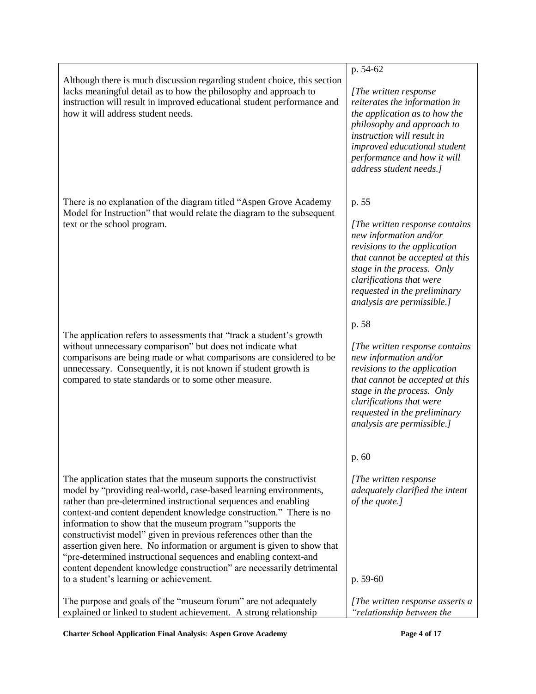| Although there is much discussion regarding student choice, this section<br>lacks meaningful detail as to how the philosophy and approach to<br>instruction will result in improved educational student performance and<br>how it will address student needs.                                                                                                                                                                                                                                                                                                                                                                                                                        | p. 54-62<br>[The written response]<br>reiterates the information in<br>the application as to how the<br>philosophy and approach to<br>instruction will result in<br>improved educational student<br>performance and how it will<br>address student needs.]            |
|--------------------------------------------------------------------------------------------------------------------------------------------------------------------------------------------------------------------------------------------------------------------------------------------------------------------------------------------------------------------------------------------------------------------------------------------------------------------------------------------------------------------------------------------------------------------------------------------------------------------------------------------------------------------------------------|-----------------------------------------------------------------------------------------------------------------------------------------------------------------------------------------------------------------------------------------------------------------------|
| There is no explanation of the diagram titled "Aspen Grove Academy<br>Model for Instruction" that would relate the diagram to the subsequent<br>text or the school program.                                                                                                                                                                                                                                                                                                                                                                                                                                                                                                          | p. 55<br>[The written response contains]<br>new information and/or<br>revisions to the application<br>that cannot be accepted at this<br>stage in the process. Only<br>clarifications that were<br>requested in the preliminary<br>analysis are permissible.]         |
| The application refers to assessments that "track a student's growth<br>without unnecessary comparison" but does not indicate what<br>comparisons are being made or what comparisons are considered to be<br>unnecessary. Consequently, it is not known if student growth is<br>compared to state standards or to some other measure.                                                                                                                                                                                                                                                                                                                                                | p. 58<br>[The written response contains<br>new information and/or<br>revisions to the application<br>that cannot be accepted at this<br>stage in the process. Only<br>clarifications that were<br>requested in the preliminary<br>analysis are permissible.]<br>p. 60 |
| The application states that the museum supports the constructivist<br>model by "providing real-world, case-based learning environments,<br>rather than pre-determined instructional sequences and enabling<br>context-and content dependent knowledge construction." There is no<br>information to show that the museum program "supports the<br>constructivist model" given in previous references other than the<br>assertion given here. No information or argument is given to show that<br>"pre-determined instructional sequences and enabling context-and<br>content dependent knowledge construction" are necessarily detrimental<br>to a student's learning or achievement. | [The written response]<br>adequately clarified the intent<br>of the quote.]<br>p. 59-60                                                                                                                                                                               |
| The purpose and goals of the "museum forum" are not adequately<br>explained or linked to student achievement. A strong relationship                                                                                                                                                                                                                                                                                                                                                                                                                                                                                                                                                  | [The written response asserts a<br>"relationship between the                                                                                                                                                                                                          |

**Charter School Application Final Analysis**: **Aspen Grove Academy Page 4 of 17**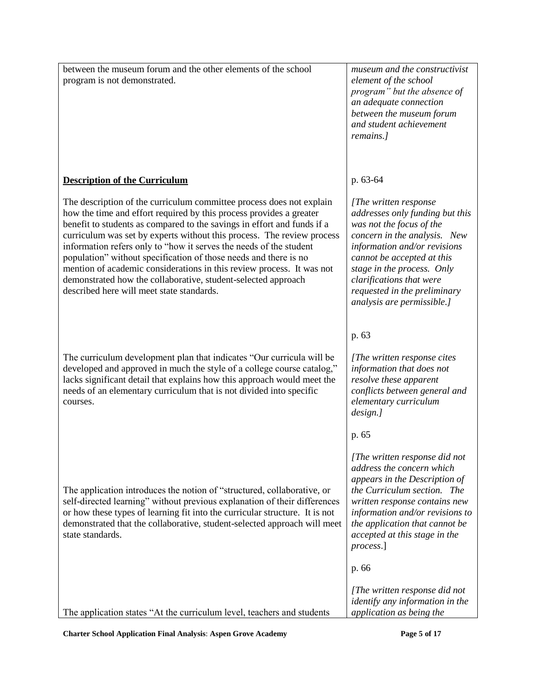between the museum forum and the other elements of the school program is not demonstrated. **Description of the Curriculum** The description of the curriculum committee process does not explain how the time and effort required by this process provides a greater benefit to students as compared to the savings in effort and funds if a curriculum was set by experts without this process. The review process information refers only to "how it serves the needs of the student population" without specification of those needs and there is no mention of academic considerations in this review process. It was not demonstrated how the collaborative, student-selected approach described here will meet state standards. The curriculum development plan that indicates "Our curricula will be developed and approved in much the style of a college course catalog," lacks significant detail that explains how this approach would meet the needs of an elementary curriculum that is not divided into specific courses. The application introduces the notion of "structured, collaborative, or self-directed learning" without previous explanation of their differences or how these types of learning fit into the curricular structure. It is not demonstrated that the collaborative, student-selected approach will meet state standards. The application states "At the curriculum level, teachers and students *museum and the constructivist element of the school program" but the absence of an adequate connection between the museum forum and student achievement remains.]* p. 63-64 *[The written response addresses only funding but this was not the focus of the concern in the analysis. New information and/or revisions cannot be accepted at this stage in the process. Only clarifications that were requested in the preliminary analysis are permissible.]* p. 63 *[The written response cites information that does not resolve these apparent conflicts between general and elementary curriculum design.]* p. 65 *[The written response did not address the concern which appears in the Description of the Curriculum section. The written response contains new information and/or revisions to the application that cannot be accepted at this stage in the process*.] p. 66 *[The written response did not identify any information in the application as being the* 

**Charter School Application Final Analysis**: **Aspen Grove Academy Page 5 of 17**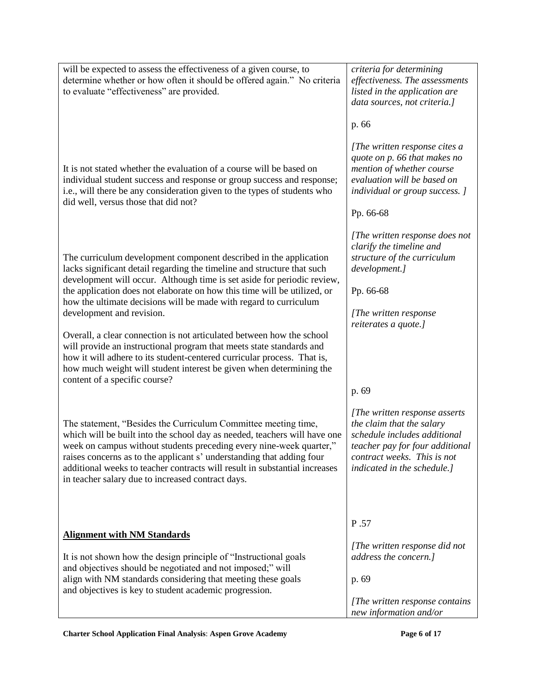| will be expected to assess the effectiveness of a given course, to<br>determine whether or how often it should be offered again." No criteria<br>to evaluate "effectiveness" are provided.                                                                                                                                                                                                                                     | criteria for determining<br>effectiveness. The assessments<br>listed in the application are                                                                                                 |
|--------------------------------------------------------------------------------------------------------------------------------------------------------------------------------------------------------------------------------------------------------------------------------------------------------------------------------------------------------------------------------------------------------------------------------|---------------------------------------------------------------------------------------------------------------------------------------------------------------------------------------------|
|                                                                                                                                                                                                                                                                                                                                                                                                                                | data sources, not criteria.]                                                                                                                                                                |
|                                                                                                                                                                                                                                                                                                                                                                                                                                | p. 66                                                                                                                                                                                       |
| It is not stated whether the evaluation of a course will be based on<br>individual student success and response or group success and response;<br>i.e., will there be any consideration given to the types of students who<br>did well, versus those that did not?                                                                                                                                                             | [The written response cites a<br>quote on p. 66 that makes no<br>mention of whether course<br>evaluation will be based on<br>individual or group success. ]                                 |
|                                                                                                                                                                                                                                                                                                                                                                                                                                | Pp. 66-68                                                                                                                                                                                   |
| The curriculum development component described in the application<br>lacks significant detail regarding the timeline and structure that such                                                                                                                                                                                                                                                                                   | [The written response does not<br>clarify the timeline and<br>structure of the curriculum<br>development.]                                                                                  |
| development will occur. Although time is set aside for periodic review,<br>the application does not elaborate on how this time will be utilized, or                                                                                                                                                                                                                                                                            | Pp. 66-68                                                                                                                                                                                   |
| how the ultimate decisions will be made with regard to curriculum<br>development and revision.                                                                                                                                                                                                                                                                                                                                 | [The written response<br>reiterates a quote.]                                                                                                                                               |
| Overall, a clear connection is not articulated between how the school<br>will provide an instructional program that meets state standards and<br>how it will adhere to its student-centered curricular process. That is,<br>how much weight will student interest be given when determining the                                                                                                                                |                                                                                                                                                                                             |
| content of a specific course?                                                                                                                                                                                                                                                                                                                                                                                                  | p. 69                                                                                                                                                                                       |
| The statement, "Besides the Curriculum Committee meeting time,<br>which will be built into the school day as needed, teachers will have one<br>week on campus without students preceding every nine-week quarter,"<br>raises concerns as to the applicant s' understanding that adding four<br>additional weeks to teacher contracts will result in substantial increases<br>in teacher salary due to increased contract days. | [The written response asserts<br>the claim that the salary<br>schedule includes additional<br>teacher pay for four additional<br>contract weeks. This is not<br>indicated in the schedule.] |
|                                                                                                                                                                                                                                                                                                                                                                                                                                |                                                                                                                                                                                             |
| <b>Alignment with NM Standards</b>                                                                                                                                                                                                                                                                                                                                                                                             | P.57                                                                                                                                                                                        |
| It is not shown how the design principle of "Instructional goals"<br>and objectives should be negotiated and not imposed;" will                                                                                                                                                                                                                                                                                                | [The written response did not<br>address the concern.]                                                                                                                                      |
| align with NM standards considering that meeting these goals<br>and objectives is key to student academic progression.                                                                                                                                                                                                                                                                                                         | p. 69                                                                                                                                                                                       |
|                                                                                                                                                                                                                                                                                                                                                                                                                                | [The written response contains]<br>new information and/or                                                                                                                                   |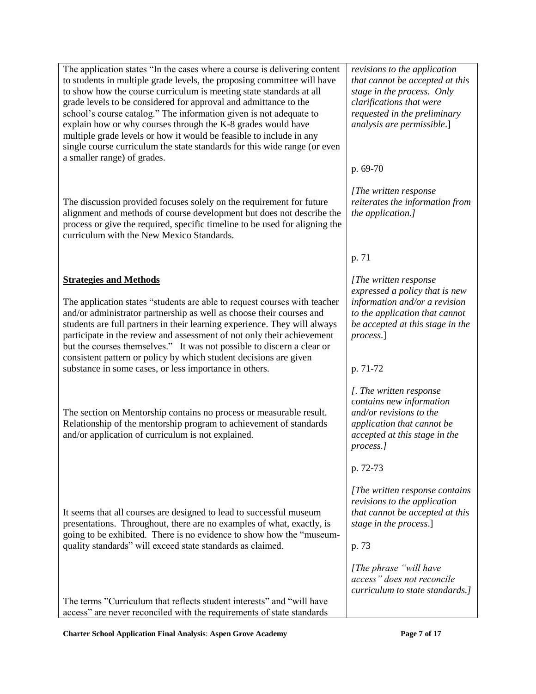The application states "In the cases where a course is delivering content to students in multiple grade levels, the proposing committee will have to show how the course curriculum is meeting state standards at all grade levels to be considered for approval and admittance to the school's course catalog." The information given is not adequate to explain how or why courses through the K-8 grades would have multiple grade levels or how it would be feasible to include in any single course curriculum the state standards for this wide range (or even a smaller range) of grades.

The discussion provided focuses solely on the requirement for future alignment and methods of course development but does not describe the process or give the required, specific timeline to be used for aligning the curriculum with the New Mexico Standards.

### **Strategies and Methods**

The application states "students are able to request courses with teacher and/or administrator partnership as well as choose their courses and students are full partners in their learning experience. They will always participate in the review and assessment of not only their achievement but the courses themselves." It was not possible to discern a clear or consistent pattern or policy by which student decisions are given substance in some cases, or less importance in others.

The section on Mentorship contains no process or measurable result. Relationship of the mentorship program to achievement of standards and/or application of curriculum is not explained.

It seems that all courses are designed to lead to successful museum presentations. Throughout, there are no examples of what, exactly, is going to be exhibited. There is no evidence to show how the "museumquality standards" will exceed state standards as claimed.

The terms "Curriculum that reflects student interests" and "will have access" are never reconciled with the requirements of state standards

*revisions to the application that cannot be accepted at this stage in the process. Only clarifications that were requested in the preliminary analysis are permissible*.]

p. 69-70

*[The written response reiterates the information from the application.]*

p. 71

*[The written response expressed a policy that is new information and/or a revision to the application that cannot be accepted at this stage in the process*.]

p. 71-72

*[. The written response contains new information and/or revisions to the application that cannot be accepted at this stage in the process.]*

p. 72-73

*[The written response contains revisions to the application that cannot be accepted at this stage in the process*.]

p. 73

*[The phrase "will have access" does not reconcile curriculum to state standards.]*

**Charter School Application Final Analysis**: **Aspen Grove Academy Page 7 of 17**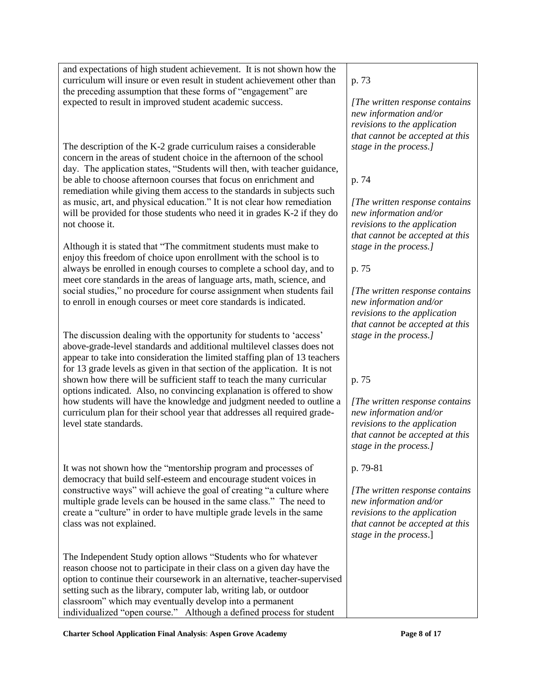and expectations of high student achievement. It is not shown how the curriculum will insure or even result in student achievement other than the preceding assumption that these forms of "engagement" are expected to result in improved student academic success.

The description of the K-2 grade curriculum raises a considerable concern in the areas of student choice in the afternoon of the school day. The application states, "Students will then, with teacher guidance, be able to choose afternoon courses that focus on enrichment and remediation while giving them access to the standards in subjects such as music, art, and physical education." It is not clear how remediation will be provided for those students who need it in grades K-2 if they do not choose it.

Although it is stated that "The commitment students must make to enjoy this freedom of choice upon enrollment with the school is to always be enrolled in enough courses to complete a school day, and to meet core standards in the areas of language arts, math, science, and social studies," no procedure for course assignment when students fail to enroll in enough courses or meet core standards is indicated.

The discussion dealing with the opportunity for students to 'access' above-grade-level standards and additional multilevel classes does not appear to take into consideration the limited staffing plan of 13 teachers for 13 grade levels as given in that section of the application. It is not shown how there will be sufficient staff to teach the many curricular options indicated. Also, no convincing explanation is offered to show how students will have the knowledge and judgment needed to outline a curriculum plan for their school year that addresses all required gradelevel state standards.

It was not shown how the "mentorship program and processes of democracy that build self-esteem and encourage student voices in constructive ways" will achieve the goal of creating "a culture where multiple grade levels can be housed in the same class." The need to create a "culture" in order to have multiple grade levels in the same class was not explained.

The Independent Study option allows "Students who for whatever reason choose not to participate in their class on a given day have the option to continue their coursework in an alternative, teacher-supervised setting such as the library, computer lab, writing lab, or outdoor classroom" which may eventually develop into a permanent individualized "open course." Although a defined process for student

### p. 73

*[The written response contains new information and/or revisions to the application that cannot be accepted at this stage in the process.]*

### p. 74

*[The written response contains new information and/or revisions to the application that cannot be accepted at this stage in the process.]*

p. 75

*[The written response contains new information and/or revisions to the application that cannot be accepted at this stage in the process.]*

### p. 75

*[The written response contains new information and/or revisions to the application that cannot be accepted at this stage in the process.]*

p. 79-81

*[The written response contains new information and/or revisions to the application that cannot be accepted at this stage in the process*.]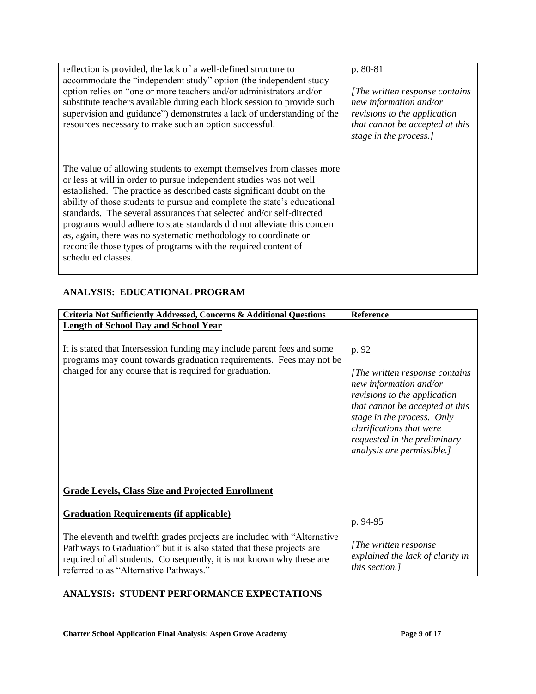| reflection is provided, the lack of a well-defined structure to<br>accommodate the "independent study" option (the independent study<br>option relies on "one or more teachers and/or administrators and/or<br>substitute teachers available during each block session to provide such<br>supervision and guidance") demonstrates a lack of understanding of the<br>resources necessary to make such an option successful.                                                                                                                                                                                      | p. 80-81<br>[The written response contains]<br>new information and/or<br>revisions to the application<br>that cannot be accepted at this<br>stage in the process.] |
|-----------------------------------------------------------------------------------------------------------------------------------------------------------------------------------------------------------------------------------------------------------------------------------------------------------------------------------------------------------------------------------------------------------------------------------------------------------------------------------------------------------------------------------------------------------------------------------------------------------------|--------------------------------------------------------------------------------------------------------------------------------------------------------------------|
| The value of allowing students to exempt themselves from classes more<br>or less at will in order to pursue independent studies was not well<br>established. The practice as described casts significant doubt on the<br>ability of those students to pursue and complete the state's educational<br>standards. The several assurances that selected and/or self-directed<br>programs would adhere to state standards did not alleviate this concern<br>as, again, there was no systematic methodology to coordinate or<br>reconcile those types of programs with the required content of<br>scheduled classes. |                                                                                                                                                                    |

#### **ANALYSIS: EDUCATIONAL PROGRAM**

| Criteria Not Sufficiently Addressed, Concerns & Additional Questions                                                                                                                                                                                                 | <b>Reference</b>                                                                                                                                                                                                                                              |
|----------------------------------------------------------------------------------------------------------------------------------------------------------------------------------------------------------------------------------------------------------------------|---------------------------------------------------------------------------------------------------------------------------------------------------------------------------------------------------------------------------------------------------------------|
| <b>Length of School Day and School Year</b>                                                                                                                                                                                                                          |                                                                                                                                                                                                                                                               |
| It is stated that Intersession funding may include parent fees and some<br>programs may count towards graduation requirements. Fees may not be<br>charged for any course that is required for graduation.                                                            | p. 92<br>[The written response contains]<br>new information and/or<br>revisions to the application<br>that cannot be accepted at this<br>stage in the process. Only<br>clarifications that were<br>requested in the preliminary<br>analysis are permissible.] |
| <b>Grade Levels, Class Size and Projected Enrollment</b>                                                                                                                                                                                                             |                                                                                                                                                                                                                                                               |
| <b>Graduation Requirements (if applicable)</b>                                                                                                                                                                                                                       | p. 94-95                                                                                                                                                                                                                                                      |
| The eleventh and twelfth grades projects are included with "Alternative"<br>Pathways to Graduation" but it is also stated that these projects are<br>required of all students. Consequently, it is not known why these are<br>referred to as "Alternative Pathways." | [The written response]<br>explained the lack of clarity in<br>this section.]                                                                                                                                                                                  |

### **ANALYSIS: STUDENT PERFORMANCE EXPECTATIONS**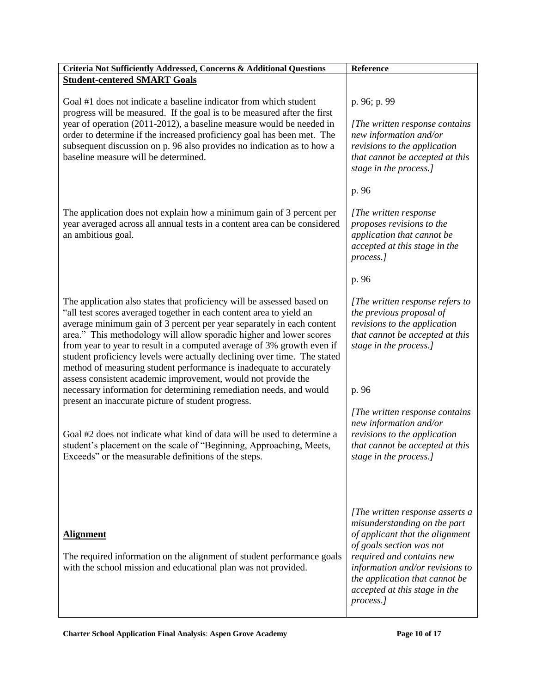| Criteria Not Sufficiently Addressed, Concerns & Additional Questions                                                                                                                                                                                                                                                                                                                                                                                                                                                                                                                                                                                                                                                                                                                                                                                                                                                              | Reference                                                                                                                                                                                                                                                                                                                  |
|-----------------------------------------------------------------------------------------------------------------------------------------------------------------------------------------------------------------------------------------------------------------------------------------------------------------------------------------------------------------------------------------------------------------------------------------------------------------------------------------------------------------------------------------------------------------------------------------------------------------------------------------------------------------------------------------------------------------------------------------------------------------------------------------------------------------------------------------------------------------------------------------------------------------------------------|----------------------------------------------------------------------------------------------------------------------------------------------------------------------------------------------------------------------------------------------------------------------------------------------------------------------------|
| <b>Student-centered SMART Goals</b>                                                                                                                                                                                                                                                                                                                                                                                                                                                                                                                                                                                                                                                                                                                                                                                                                                                                                               |                                                                                                                                                                                                                                                                                                                            |
| Goal #1 does not indicate a baseline indicator from which student<br>progress will be measured. If the goal is to be measured after the first<br>year of operation (2011-2012), a baseline measure would be needed in<br>order to determine if the increased proficiency goal has been met. The<br>subsequent discussion on p. 96 also provides no indication as to how a<br>baseline measure will be determined.                                                                                                                                                                                                                                                                                                                                                                                                                                                                                                                 | p. 96; p. 99<br>[The written response contains<br>new information and/or<br>revisions to the application<br>that cannot be accepted at this<br>stage in the process.]                                                                                                                                                      |
|                                                                                                                                                                                                                                                                                                                                                                                                                                                                                                                                                                                                                                                                                                                                                                                                                                                                                                                                   | p. 96                                                                                                                                                                                                                                                                                                                      |
| The application does not explain how a minimum gain of 3 percent per<br>year averaged across all annual tests in a content area can be considered<br>an ambitious goal.                                                                                                                                                                                                                                                                                                                                                                                                                                                                                                                                                                                                                                                                                                                                                           | [The written response]<br>proposes revisions to the<br>application that cannot be<br>accepted at this stage in the<br>process.]                                                                                                                                                                                            |
|                                                                                                                                                                                                                                                                                                                                                                                                                                                                                                                                                                                                                                                                                                                                                                                                                                                                                                                                   | p. 96                                                                                                                                                                                                                                                                                                                      |
| The application also states that proficiency will be assessed based on<br>"all test scores averaged together in each content area to yield an<br>average minimum gain of 3 percent per year separately in each content<br>area." This methodology will allow sporadic higher and lower scores<br>from year to year to result in a computed average of 3% growth even if<br>student proficiency levels were actually declining over time. The stated<br>method of measuring student performance is inadequate to accurately<br>assess consistent academic improvement, would not provide the<br>necessary information for determining remediation needs, and would<br>present an inaccurate picture of student progress.<br>Goal #2 does not indicate what kind of data will be used to determine a<br>student's placement on the scale of "Beginning, Approaching, Meets,<br>Exceeds" or the measurable definitions of the steps. | [The written response refers to<br>the previous proposal of<br>revisions to the application<br>that cannot be accepted at this<br>stage in the process.]<br>p. 96<br>[The written response contains<br>new information and/or<br>revisions to the application<br>that cannot be accepted at this<br>stage in the process.] |
| <b>Alignment</b><br>The required information on the alignment of student performance goals<br>with the school mission and educational plan was not provided.                                                                                                                                                                                                                                                                                                                                                                                                                                                                                                                                                                                                                                                                                                                                                                      | [The written response asserts a<br>misunderstanding on the part<br>of applicant that the alignment<br>of goals section was not<br>required and contains new<br>information and/or revisions to<br>the application that cannot be<br>accepted at this stage in the<br>process.]                                             |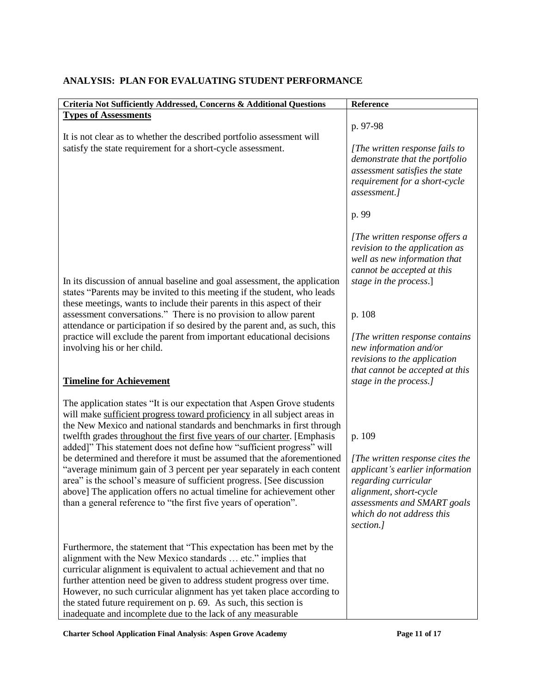| Criteria Not Sufficiently Addressed, Concerns & Additional Questions                                                                                                                                                                                                                                                                                                                                                                                                                                                                                                                                                                                                                                                                                         | Reference                                                                                                                                                                                               |
|--------------------------------------------------------------------------------------------------------------------------------------------------------------------------------------------------------------------------------------------------------------------------------------------------------------------------------------------------------------------------------------------------------------------------------------------------------------------------------------------------------------------------------------------------------------------------------------------------------------------------------------------------------------------------------------------------------------------------------------------------------------|---------------------------------------------------------------------------------------------------------------------------------------------------------------------------------------------------------|
| <b>Types of Assessments</b>                                                                                                                                                                                                                                                                                                                                                                                                                                                                                                                                                                                                                                                                                                                                  | p. 97-98                                                                                                                                                                                                |
| It is not clear as to whether the described portfolio assessment will<br>satisfy the state requirement for a short-cycle assessment.                                                                                                                                                                                                                                                                                                                                                                                                                                                                                                                                                                                                                         | [The written response fails to<br>demonstrate that the portfolio<br>assessment satisfies the state<br>requirement for a short-cycle<br>assessment.]                                                     |
|                                                                                                                                                                                                                                                                                                                                                                                                                                                                                                                                                                                                                                                                                                                                                              | p. 99                                                                                                                                                                                                   |
| In its discussion of annual baseline and goal assessment, the application<br>states "Parents may be invited to this meeting if the student, who leads                                                                                                                                                                                                                                                                                                                                                                                                                                                                                                                                                                                                        | [The written response offers a<br>revision to the application as<br>well as new information that<br>cannot be accepted at this<br>stage in the process.]                                                |
| these meetings, wants to include their parents in this aspect of their<br>assessment conversations." There is no provision to allow parent                                                                                                                                                                                                                                                                                                                                                                                                                                                                                                                                                                                                                   | p. 108                                                                                                                                                                                                  |
| attendance or participation if so desired by the parent and, as such, this<br>practice will exclude the parent from important educational decisions<br>involving his or her child.                                                                                                                                                                                                                                                                                                                                                                                                                                                                                                                                                                           | [The written response contains]<br>new information and/or<br>revisions to the application<br>that cannot be accepted at this                                                                            |
| <b>Timeline for Achievement</b>                                                                                                                                                                                                                                                                                                                                                                                                                                                                                                                                                                                                                                                                                                                              | stage in the process.]                                                                                                                                                                                  |
| The application states "It is our expectation that Aspen Grove students<br>will make sufficient progress toward proficiency in all subject areas in<br>the New Mexico and national standards and benchmarks in first through<br>twelfth grades throughout the first five years of our charter. [Emphasis<br>added]" This statement does not define how "sufficient progress" will<br>be determined and therefore it must be assumed that the aforementioned<br>"average minimum gain of 3 percent per year separately in each content<br>area" is the school's measure of sufficient progress. [See discussion<br>above] The application offers no actual timeline for achievement other<br>than a general reference to "the first five years of operation". | p. 109<br>[The written response cites the<br>applicant's earlier information<br>regarding curricular<br>alignment, short-cycle<br>assessments and SMART goals<br>which do not address this<br>section.] |
| Furthermore, the statement that "This expectation has been met by the<br>alignment with the New Mexico standards  etc." implies that<br>curricular alignment is equivalent to actual achievement and that no<br>further attention need be given to address student progress over time.<br>However, no such curricular alignment has yet taken place according to<br>the stated future requirement on p. 69. As such, this section is<br>inadequate and incomplete due to the lack of any measurable                                                                                                                                                                                                                                                          |                                                                                                                                                                                                         |

### **ANALYSIS: PLAN FOR EVALUATING STUDENT PERFORMANCE**

**Charter School Application Final Analysis**: **Aspen Grove Academy Page 11 of 17**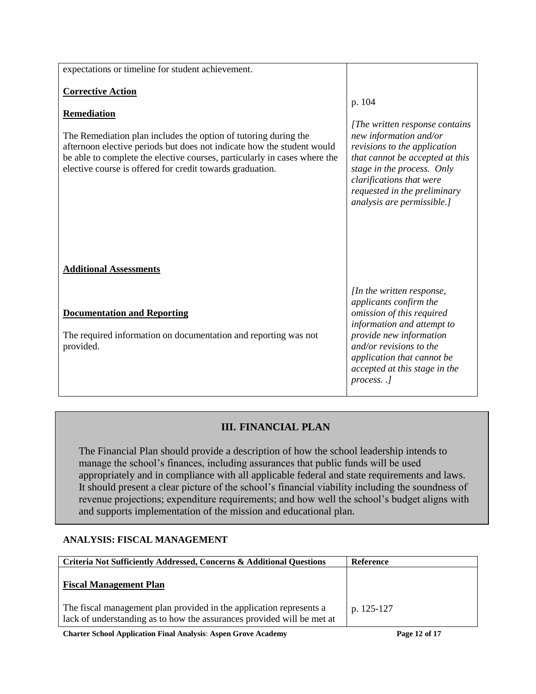| expectations or timeline for student achievement.                                                                                                                                                                                                                                                                                     |                                                                                                                                                                                                                                                                |
|---------------------------------------------------------------------------------------------------------------------------------------------------------------------------------------------------------------------------------------------------------------------------------------------------------------------------------------|----------------------------------------------------------------------------------------------------------------------------------------------------------------------------------------------------------------------------------------------------------------|
| <b>Corrective Action</b><br><b>Remediation</b><br>The Remediation plan includes the option of tutoring during the<br>afternoon elective periods but does not indicate how the student would<br>be able to complete the elective courses, particularly in cases where the<br>elective course is offered for credit towards graduation. | p. 104<br>[The written response contains]<br>new information and/or<br>revisions to the application<br>that cannot be accepted at this<br>stage in the process. Only<br>clarifications that were<br>requested in the preliminary<br>analysis are permissible.] |
| <b>Additional Assessments</b>                                                                                                                                                                                                                                                                                                         |                                                                                                                                                                                                                                                                |
| <b>Documentation and Reporting</b><br>The required information on documentation and reporting was not<br>provided.                                                                                                                                                                                                                    | [In the written response,<br>applicants confirm the<br>omission of this required<br>information and attempt to<br>provide new information<br>$and/or$ revisions to the<br>application that cannot be<br>accepted at this stage in the<br>$process.$ .]         |

# **III. FINANCIAL PLAN**

The Financial Plan should provide a description of how the school leadership intends to manage the school's finances, including assurances that public funds will be used appropriately and in compliance with all applicable federal and state requirements and laws. It should present a clear picture of the school"s financial viability including the soundness of revenue projections; expenditure requirements; and how well the school"s budget aligns with and supports implementation of the mission and educational plan.

### **ANALYSIS: FISCAL MANAGEMENT**

| Criteria Not Sufficiently Addressed, Concerns & Additional Questions                                                                          | Reference  |
|-----------------------------------------------------------------------------------------------------------------------------------------------|------------|
| <b>Fiscal Management Plan</b>                                                                                                                 |            |
| The fiscal management plan provided in the application represents a<br>lack of understanding as to how the assurances provided will be met at | p. 125-127 |

**Charter School Application Final Analysis**: **Aspen Grove Academy Page 12 of 17**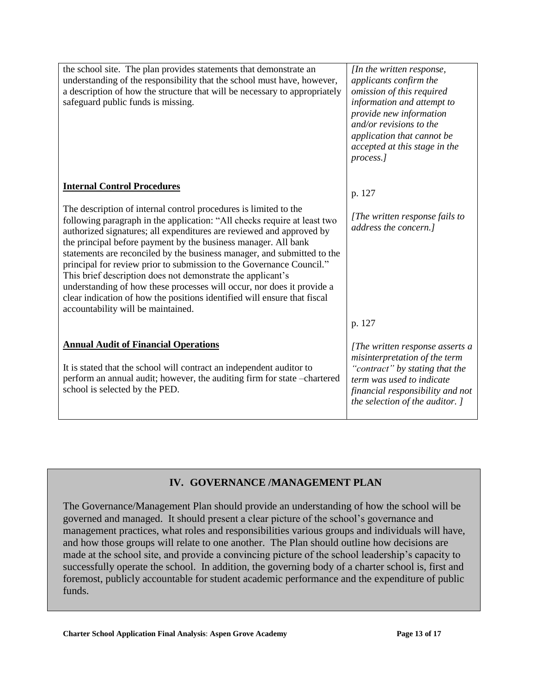| the school site. The plan provides statements that demonstrate an<br>understanding of the responsibility that the school must have, however,<br>a description of how the structure that will be necessary to appropriately<br>safeguard public funds is missing.                                                                                                                                                                                                                                                                                                                                                                                                                                     | [In the written response,<br>applicants confirm the<br>omission of this required<br>information and attempt to<br>provide new information<br>$and/or$ revisions to the<br>application that cannot be<br>accepted at this stage in the<br>process.] |
|------------------------------------------------------------------------------------------------------------------------------------------------------------------------------------------------------------------------------------------------------------------------------------------------------------------------------------------------------------------------------------------------------------------------------------------------------------------------------------------------------------------------------------------------------------------------------------------------------------------------------------------------------------------------------------------------------|----------------------------------------------------------------------------------------------------------------------------------------------------------------------------------------------------------------------------------------------------|
| <b>Internal Control Procedures</b>                                                                                                                                                                                                                                                                                                                                                                                                                                                                                                                                                                                                                                                                   | p. 127                                                                                                                                                                                                                                             |
| The description of internal control procedures is limited to the<br>following paragraph in the application: "All checks require at least two<br>authorized signatures; all expenditures are reviewed and approved by<br>the principal before payment by the business manager. All bank<br>statements are reconciled by the business manager, and submitted to the<br>principal for review prior to submission to the Governance Council."<br>This brief description does not demonstrate the applicant's<br>understanding of how these processes will occur, nor does it provide a<br>clear indication of how the positions identified will ensure that fiscal<br>accountability will be maintained. | [The written response fails to<br>address the concern.]<br>p. 127                                                                                                                                                                                  |
| <b>Annual Audit of Financial Operations</b><br>It is stated that the school will contract an independent auditor to<br>perform an annual audit; however, the auditing firm for state -chartered<br>school is selected by the PED.                                                                                                                                                                                                                                                                                                                                                                                                                                                                    | [The written response asserts a<br>misinterpretation of the term<br>"contract" by stating that the<br>term was used to indicate<br>financial responsibility and not<br>the selection of the auditor. ]                                             |

# **IV. GOVERNANCE /MANAGEMENT PLAN**

The Governance/Management Plan should provide an understanding of how the school will be governed and managed. It should present a clear picture of the school"s governance and management practices, what roles and responsibilities various groups and individuals will have, and how those groups will relate to one another. The Plan should outline how decisions are made at the school site, and provide a convincing picture of the school leadership"s capacity to successfully operate the school. In addition, the governing body of a charter school is, first and foremost, publicly accountable for student academic performance and the expenditure of public funds.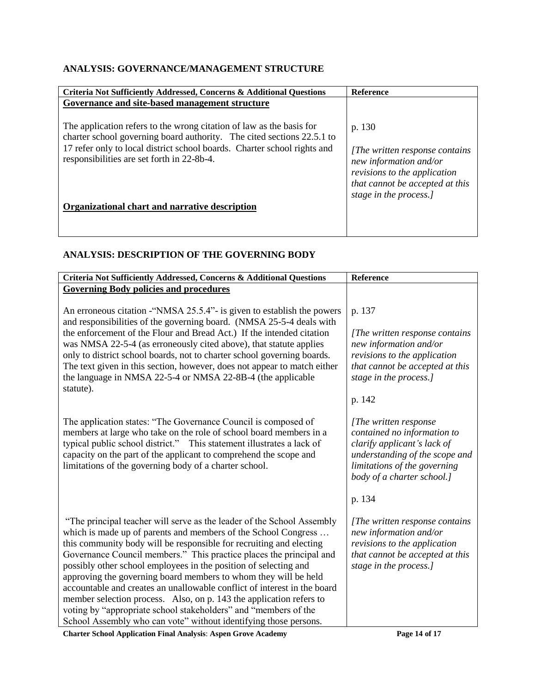### **ANALYSIS: GOVERNANCE/MANAGEMENT STRUCTURE**

| <b>Criteria Not Sufficiently Addressed, Concerns &amp; Additional Questions</b>                                                                                                                                                                                          | <b>Reference</b>                                                                                                                      |
|--------------------------------------------------------------------------------------------------------------------------------------------------------------------------------------------------------------------------------------------------------------------------|---------------------------------------------------------------------------------------------------------------------------------------|
| Governance and site-based management structure                                                                                                                                                                                                                           |                                                                                                                                       |
| The application refers to the wrong citation of law as the basis for<br>charter school governing board authority. The cited sections 22.5.1 to<br>17 refer only to local district school boards. Charter school rights and<br>responsibilities are set forth in 22-8b-4. | p. 130<br>[The written response contains<br>new information and/or<br>revisions to the application<br>that cannot be accepted at this |
| Organizational chart and narrative description                                                                                                                                                                                                                           | stage in the process.]                                                                                                                |

### **ANALYSIS: DESCRIPTION OF THE GOVERNING BODY**

| Criteria Not Sufficiently Addressed, Concerns & Additional Questions                                                                                                                                                                                                                                                                                                                                                                                                                                                                                                                                                                                                                                                    | Reference                                                                                                                                                                                      |
|-------------------------------------------------------------------------------------------------------------------------------------------------------------------------------------------------------------------------------------------------------------------------------------------------------------------------------------------------------------------------------------------------------------------------------------------------------------------------------------------------------------------------------------------------------------------------------------------------------------------------------------------------------------------------------------------------------------------------|------------------------------------------------------------------------------------------------------------------------------------------------------------------------------------------------|
| <b>Governing Body policies and procedures</b>                                                                                                                                                                                                                                                                                                                                                                                                                                                                                                                                                                                                                                                                           |                                                                                                                                                                                                |
| An erroneous citation - "NMSA 25.5.4" - is given to establish the powers<br>and responsibilities of the governing board. (NMSA 25-5-4 deals with<br>the enforcement of the Flour and Bread Act.) If the intended citation<br>was NMSA 22-5-4 (as erroneously cited above), that statute applies<br>only to district school boards, not to charter school governing boards.<br>The text given in this section, however, does not appear to match either<br>the language in NMSA 22-5-4 or NMSA 22-8B-4 (the applicable<br>statute).                                                                                                                                                                                      | p. 137<br>[The written response contains]<br>new information and/or<br>revisions to the application<br>that cannot be accepted at this<br>stage in the process.]<br>p. 142                     |
| The application states: "The Governance Council is composed of<br>members at large who take on the role of school board members in a<br>typical public school district." This statement illustrates a lack of<br>capacity on the part of the applicant to comprehend the scope and<br>limitations of the governing body of a charter school.                                                                                                                                                                                                                                                                                                                                                                            | [The written response]<br>contained no information to<br>clarify applicant's lack of<br>understanding of the scope and<br>limitations of the governing<br>body of a charter school.]<br>p. 134 |
| "The principal teacher will serve as the leader of the School Assembly<br>which is made up of parents and members of the School Congress<br>this community body will be responsible for recruiting and electing<br>Governance Council members." This practice places the principal and<br>possibly other school employees in the position of selecting and<br>approving the governing board members to whom they will be held<br>accountable and creates an unallowable conflict of interest in the board<br>member selection process. Also, on p. 143 the application refers to<br>voting by "appropriate school stakeholders" and "members of the<br>School Assembly who can vote" without identifying those persons. | [The written response contains]<br>new information and/or<br>revisions to the application<br>that cannot be accepted at this<br>stage in the process.]                                         |

**Charter School Application Final Analysis**: **Aspen Grove Academy Page 14 of 17**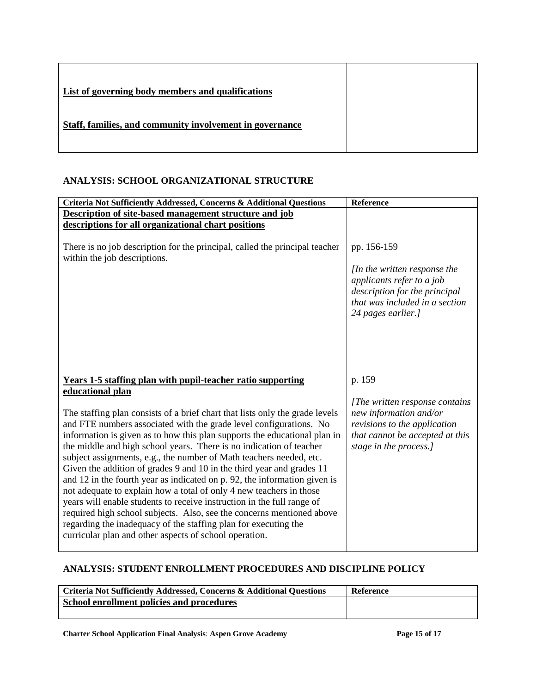| List of governing body members and qualifications        |  |
|----------------------------------------------------------|--|
| Staff, families, and community involvement in governance |  |

#### **ANALYSIS: SCHOOL ORGANIZATIONAL STRUCTURE**

| Criteria Not Sufficiently Addressed, Concerns & Additional Questions                                                                            | Reference                                                       |
|-------------------------------------------------------------------------------------------------------------------------------------------------|-----------------------------------------------------------------|
| Description of site-based management structure and job                                                                                          |                                                                 |
| descriptions for all organizational chart positions                                                                                             |                                                                 |
|                                                                                                                                                 |                                                                 |
| There is no job description for the principal, called the principal teacher                                                                     | pp. 156-159                                                     |
| within the job descriptions.                                                                                                                    |                                                                 |
|                                                                                                                                                 | [In the written response the                                    |
|                                                                                                                                                 | applicants refer to a job                                       |
|                                                                                                                                                 | description for the principal                                   |
|                                                                                                                                                 | that was included in a section                                  |
|                                                                                                                                                 | 24 pages earlier.]                                              |
|                                                                                                                                                 |                                                                 |
|                                                                                                                                                 |                                                                 |
|                                                                                                                                                 |                                                                 |
|                                                                                                                                                 |                                                                 |
| <b>Years 1-5 staffing plan with pupil-teacher ratio supporting</b>                                                                              | p. 159                                                          |
| educational plan                                                                                                                                |                                                                 |
|                                                                                                                                                 | [The written response contains]                                 |
| The staffing plan consists of a brief chart that lists only the grade levels                                                                    | new information and/or                                          |
| and FTE numbers associated with the grade level configurations. No<br>information is given as to how this plan supports the educational plan in | revisions to the application<br>that cannot be accepted at this |
| the middle and high school years. There is no indication of teacher                                                                             | stage in the process.]                                          |
| subject assignments, e.g., the number of Math teachers needed, etc.                                                                             |                                                                 |
| Given the addition of grades 9 and 10 in the third year and grades 11                                                                           |                                                                 |
| and 12 in the fourth year as indicated on p. 92, the information given is                                                                       |                                                                 |
| not adequate to explain how a total of only 4 new teachers in those                                                                             |                                                                 |
| years will enable students to receive instruction in the full range of                                                                          |                                                                 |
| required high school subjects. Also, see the concerns mentioned above                                                                           |                                                                 |
| regarding the inadequacy of the staffing plan for executing the                                                                                 |                                                                 |
| curricular plan and other aspects of school operation.                                                                                          |                                                                 |

### **ANALYSIS: STUDENT ENROLLMENT PROCEDURES AND DISCIPLINE POLICY**

| Criteria Not Sufficiently Addressed, Concerns & Additional Questions | Reference |
|----------------------------------------------------------------------|-----------|
| School enrollment policies and procedures                            |           |
|                                                                      |           |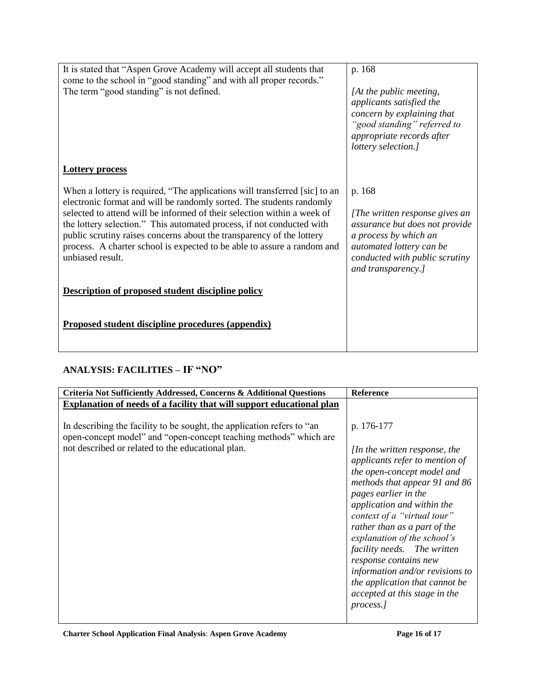| It is stated that "Aspen Grove Academy will accept all students that<br>come to the school in "good standing" and with all proper records."<br>The term "good standing" is not defined.                                                                                                                                                                                                                                                                                        | p. 168<br>[At the public meeting,<br>applicants satisfied the<br>concern by explaining that<br>"good standing" referred to<br>appropriate records after<br>lottery selection.]          |
|--------------------------------------------------------------------------------------------------------------------------------------------------------------------------------------------------------------------------------------------------------------------------------------------------------------------------------------------------------------------------------------------------------------------------------------------------------------------------------|-----------------------------------------------------------------------------------------------------------------------------------------------------------------------------------------|
| <b>Lottery process</b>                                                                                                                                                                                                                                                                                                                                                                                                                                                         |                                                                                                                                                                                         |
| When a lottery is required, "The applications will transferred [sic] to an<br>electronic format and will be randomly sorted. The students randomly<br>selected to attend will be informed of their selection within a week of<br>the lottery selection." This automated process, if not conducted with<br>public scrutiny raises concerns about the transparency of the lottery<br>process. A charter school is expected to be able to assure a random and<br>unbiased result. | p. 168<br>[The written response gives an<br>assurance but does not provide<br>a process by which an<br>automated lottery can be<br>conducted with public scrutiny<br>and transparency.] |
| <b>Description of proposed student discipline policy</b>                                                                                                                                                                                                                                                                                                                                                                                                                       |                                                                                                                                                                                         |
| Proposed student discipline procedures (appendix)                                                                                                                                                                                                                                                                                                                                                                                                                              |                                                                                                                                                                                         |

# **ANALYSIS: FACILITIES – IF "NO"**

|                                                                                                                                                                                                                                                                                                                                                   | <b>Reference</b>                                                                                                                                                                                                                                                                                       |
|---------------------------------------------------------------------------------------------------------------------------------------------------------------------------------------------------------------------------------------------------------------------------------------------------------------------------------------------------|--------------------------------------------------------------------------------------------------------------------------------------------------------------------------------------------------------------------------------------------------------------------------------------------------------|
| Criteria Not Sufficiently Addressed, Concerns & Additional Questions<br>Explanation of needs of a facility that will support educational plan<br>In describing the facility to be sought, the application refers to "an<br>open-concept model" and "open-concept teaching methods" which are<br>not described or related to the educational plan. | p. 176-177<br>$\int$ In the written response, the<br>applicants refer to mention of<br>the open-concept model and<br>methods that appear 91 and 86<br>pages earlier in the<br>application and within the<br>context of a "virtual tour"<br>rather than as a part of the<br>explanation of the school's |
|                                                                                                                                                                                                                                                                                                                                                   | facility needs. The written<br>response contains new                                                                                                                                                                                                                                                   |
|                                                                                                                                                                                                                                                                                                                                                   | information and/or revisions to<br>the application that cannot be<br>accepted at this stage in the<br>process.                                                                                                                                                                                         |